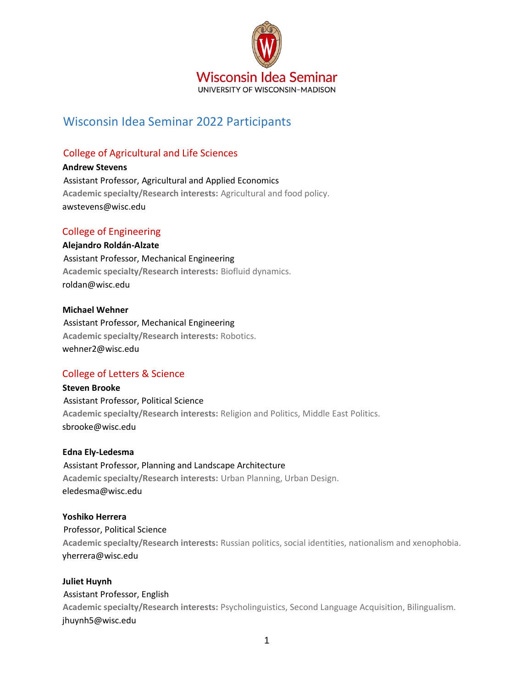

# Wisconsin Idea Seminar 2022 Participants

## College of Agricultural and Life Sciences

**Andrew Stevens**  Assistant Professor, Agricultural and Applied Economics **Academic specialty/Research interests:** Agricultural and food policy. awstevens@wisc.edu

## College of Engineering

**Alejandro Roldán-Alzate**  Assistant Professor, Mechanical Engineering **Academic specialty/Research interests:** Biofluid dynamics. roldan@wisc.edu

#### **Michael Wehner**

Assistant Professor, Mechanical Engineering **Academic specialty/Research interests:** Robotics. wehner2@wisc.edu

### College of Letters & Science

**Steven Brooke**  Assistant Professor, Political Science **Academic specialty/Research interests:** Religion and Politics, Middle East Politics. sbrooke@wisc.edu

**Edna Ely-Ledesma**  Assistant Professor, Planning and Landscape Architecture **Academic specialty/Research interests:** Urban Planning, Urban Design. eledesma@wisc.edu

### **Yoshiko Herrera**

Professor, Political Science **Academic specialty/Research interests:** Russian politics, social identities, nationalism and xenophobia. yherrera@wisc.edu

#### **Juliet Huynh**

Assistant Professor, English

**Academic specialty/Research interests:** Psycholinguistics, Second Language Acquisition, Bilingualism. jhuynh5@wisc.edu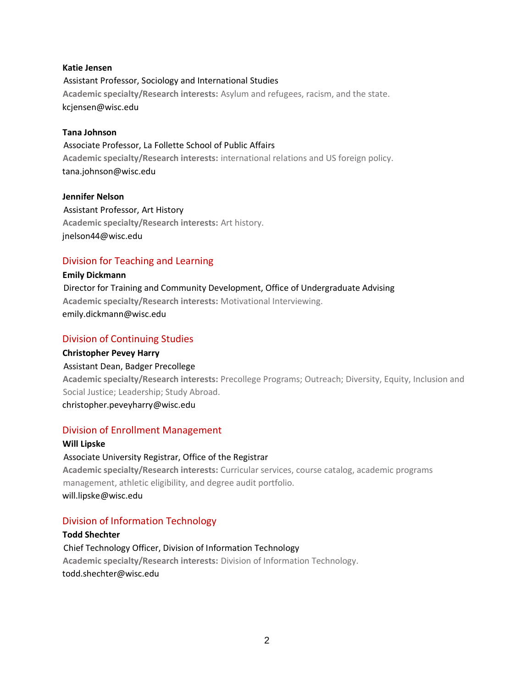#### **Katie Jensen**

Assistant Professor, Sociology and International Studies **Academic specialty/Research interests:** Asylum and refugees, racism, and the state. kcjensen@wisc.edu

#### **Tana Johnson**

Associate Professor, La Follette School of Public Affairs **Academic specialty/Research interests:** international relations and US foreign policy. tana.johnson@wisc.edu

#### **Jennifer Nelson**

Assistant Professor, Art History **Academic specialty/Research interests:** Art history. jnelson44@wisc.edu

## Division for Teaching and Learning

**Emily Dickmann**  Director for Training and Community Development, Office of Undergraduate Advising **Academic specialty/Research interests:** Motivational Interviewing. emily.dickmann@wisc.edu

### Division of Continuing Studies

**Christopher Pevey Harry**  Assistant Dean, Badger Precollege

**Academic specialty/Research interests:** Precollege Programs; Outreach; Diversity, Equity, Inclusion and Social Justice; Leadership; Study Abroad.

christopher.peveyharry@wisc.edu

### Division of Enrollment Management

#### **Will Lipske**

Associate University Registrar, Office of the Registrar

**Academic specialty/Research interests:** Curricular services, course catalog, academic programs management, athletic eligibility, and degree audit portfolio. will.lipske@wisc.edu

## Division of Information Technology

## **Todd Shechter**  Chief Technology Officer, Division of Information Technology **Academic specialty/Research interests:** Division of Information Technology. todd.shechter@wisc.edu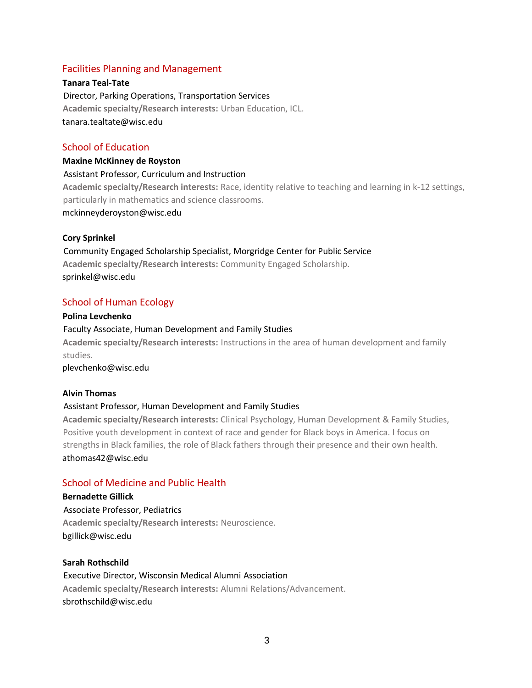### Facilities Planning and Management

**Tanara Teal-Tate**  Director, Parking Operations, Transportation Services **Academic specialty/Research interests:** Urban Education, ICL. tanara.tealtate@wisc.edu

### School of Education

**Maxine McKinney de Royston**  Assistant Professor, Curriculum and Instruction **Academic specialty/Research interests:** Race, identity relative to teaching and learning in k-12 settings, particularly in mathematics and science classrooms. mckinneyderoyston@wisc.edu

#### **Cory Sprinkel**

Community Engaged Scholarship Specialist, Morgridge Center for Public Service **Academic specialty/Research interests:** Community Engaged Scholarship. sprinkel@wisc.edu

#### School of Human Ecology

#### **Polina Levchenko**

Faculty Associate, Human Development and Family Studies **Academic specialty/Research interests:** Instructions in the area of human development and family studies.

plevchenko@wisc.edu

#### **Alvin Thomas**

#### Assistant Professor, Human Development and Family Studies

**Academic specialty/Research interests:** Clinical Psychology, Human Development & Family Studies, Positive youth development in context of race and gender for Black boys in America. I focus on strengths in Black families, the role of Black fathers through their presence and their own health. athomas42@wisc.edu

#### School of Medicine and Public Health

#### **Bernadette Gillick**

Associate Professor, Pediatrics **Academic specialty/Research interests:** Neuroscience. bgillick@wisc.edu

#### **Sarah Rothschild**

Executive Director, Wisconsin Medical Alumni Association **Academic specialty/Research interests:** Alumni Relations/Advancement. sbrothschild@wisc.edu